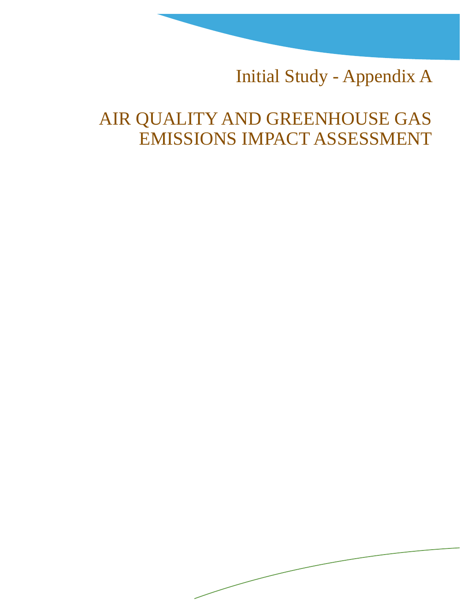Initial Study - Appendix A

# AIR QUALITY AND GREENHOUSE GAS EMISSIONS IMPACT ASSESSMENT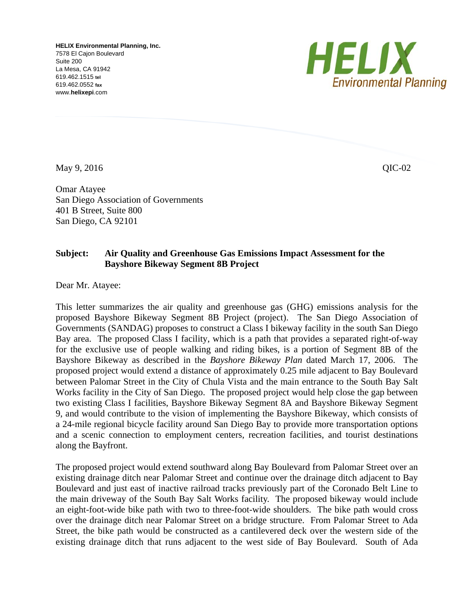**HELIX Environmental Planning, Inc.**  7578 El Cajon Boulevard Suite 200 La Mesa, CA 91942 619.462.1515 **tel** 619.462.0552 **fax** www.**helixepi**.com



May 9, 2016 QIC-02

Omar Atayee San Diego Association of Governments 401 B Street, Suite 800 San Diego, CA 92101

## **Subject: Air Quality and Greenhouse Gas Emissions Impact Assessment for the Bayshore Bikeway Segment 8B Project**

Dear Mr. Atayee:

This letter summarizes the air quality and greenhouse gas (GHG) emissions analysis for the proposed Bayshore Bikeway Segment 8B Project (project). The San Diego Association of Governments (SANDAG) proposes to construct a Class I bikeway facility in the south San Diego Bay area. The proposed Class I facility, which is a path that provides a separated right-of-way for the exclusive use of people walking and riding bikes, is a portion of Segment 8B of the Bayshore Bikeway as described in the *Bayshore Bikeway Plan* dated March 17, 2006. The proposed project would extend a distance of approximately 0.25 mile adjacent to Bay Boulevard between Palomar Street in the City of Chula Vista and the main entrance to the South Bay Salt Works facility in the City of San Diego. The proposed project would help close the gap between two existing Class I facilities, Bayshore Bikeway Segment 8A and Bayshore Bikeway Segment 9, and would contribute to the vision of implementing the Bayshore Bikeway, which consists of a 24-mile regional bicycle facility around San Diego Bay to provide more transportation options and a scenic connection to employment centers, recreation facilities, and tourist destinations along the Bayfront.

The proposed project would extend southward along Bay Boulevard from Palomar Street over an existing drainage ditch near Palomar Street and continue over the drainage ditch adjacent to Bay Boulevard and just east of inactive railroad tracks previously part of the Coronado Belt Line to the main driveway of the South Bay Salt Works facility. The proposed bikeway would include an eight-foot-wide bike path with two to three-foot-wide shoulders. The bike path would cross over the drainage ditch near Palomar Street on a bridge structure. From Palomar Street to Ada Street, the bike path would be constructed as a cantilevered deck over the western side of the existing drainage ditch that runs adjacent to the west side of Bay Boulevard. South of Ada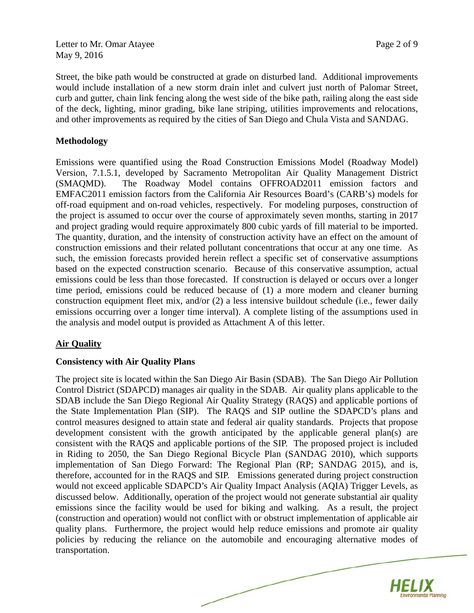Letter to Mr. Omar Atayee Page 2 of 9 May 9, 2016

Street, the bike path would be constructed at grade on disturbed land. Additional improvements would include installation of a new storm drain inlet and culvert just north of Palomar Street, curb and gutter, chain link fencing along the west side of the bike path, railing along the east side of the deck, lighting, minor grading, bike lane striping, utilities improvements and relocations, and other improvements as required by the cities of San Diego and Chula Vista and SANDAG.

#### **Methodology**

Emissions were quantified using the Road Construction Emissions Model (Roadway Model) Version, 7.1.5.1, developed by Sacramento Metropolitan Air Quality Management District (SMAQMD). The Roadway Model contains OFFROAD2011 emission factors and EMFAC2011 emission factors from the California Air Resources Board's (CARB's) models for off-road equipment and on-road vehicles, respectively. For modeling purposes, construction of the project is assumed to occur over the course of approximately seven months, starting in 2017 and project grading would require approximately 800 cubic yards of fill material to be imported. The quantity, duration, and the intensity of construction activity have an effect on the amount of construction emissions and their related pollutant concentrations that occur at any one time. As such, the emission forecasts provided herein reflect a specific set of conservative assumptions based on the expected construction scenario. Because of this conservative assumption, actual emissions could be less than those forecasted. If construction is delayed or occurs over a longer time period, emissions could be reduced because of (1) a more modern and cleaner burning construction equipment fleet mix, and/or (2) a less intensive buildout schedule (i.e., fewer daily emissions occurring over a longer time interval). A complete listing of the assumptions used in the analysis and model output is provided as Attachment A of this letter.

## **Air Quality**

## **Consistency with Air Quality Plans**

The project site is located within the San Diego Air Basin (SDAB). The San Diego Air Pollution Control District (SDAPCD) manages air quality in the SDAB. Air quality plans applicable to the SDAB include the San Diego Regional Air Quality Strategy (RAQS) and applicable portions of the State Implementation Plan (SIP). The RAQS and SIP outline the SDAPCD's plans and control measures designed to attain state and federal air quality standards. Projects that propose development consistent with the growth anticipated by the applicable general plan(s) are consistent with the RAQS and applicable portions of the SIP. The proposed project is included in Riding to 2050, the San Diego Regional Bicycle Plan (SANDAG 2010), which supports implementation of San Diego Forward: The Regional Plan (RP; SANDAG 2015), and is, therefore, accounted for in the RAQS and SIP. Emissions generated during project construction would not exceed applicable SDAPCD's Air Quality Impact Analysis (AQIA) Trigger Levels, as discussed below. Additionally, operation of the project would not generate substantial air quality emissions since the facility would be used for biking and walking. As a result, the project (construction and operation) would not conflict with or obstruct implementation of applicable air quality plans. Furthermore, the project would help reduce emissions and promote air quality policies by reducing the reliance on the automobile and encouraging alternative modes of transportation.

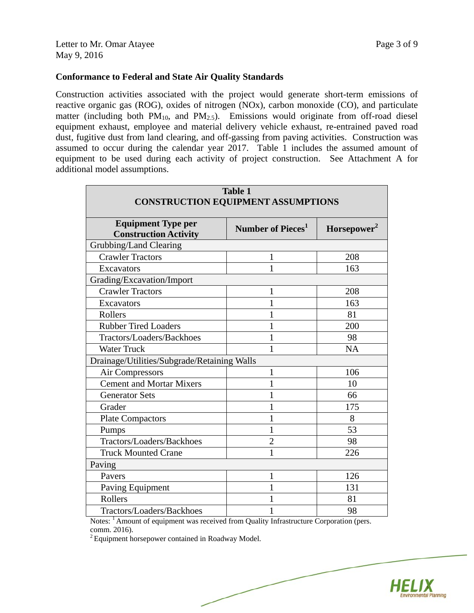#### **Conformance to Federal and State Air Quality Standards**

Construction activities associated with the project would generate short-term emissions of reactive organic gas (ROG), oxides of nitrogen (NOx), carbon monoxide (CO), and particulate matter (including both  $PM_{10}$ , and  $PM_{2.5}$ ). Emissions would originate from off-road diesel equipment exhaust, employee and material delivery vehicle exhaust, re-entrained paved road dust, fugitive dust from land clearing, and off-gassing from paving activities. Construction was assumed to occur during the calendar year 2017. Table 1 includes the assumed amount of equipment to be used during each activity of project construction. See Attachment A for additional model assumptions.

| <b>Table 1</b><br><b>CONSTRUCTION EQUIPMENT ASSUMPTIONS</b> |                               |                         |  |  |  |  |  |
|-------------------------------------------------------------|-------------------------------|-------------------------|--|--|--|--|--|
| <b>Equipment Type per</b><br><b>Construction Activity</b>   | Number of Pieces <sup>1</sup> | Horsepower <sup>2</sup> |  |  |  |  |  |
| Grubbing/Land Clearing                                      |                               |                         |  |  |  |  |  |
| <b>Crawler Tractors</b>                                     | 1                             | 208                     |  |  |  |  |  |
| <b>Excavators</b>                                           | 1                             | 163                     |  |  |  |  |  |
| Grading/Excavation/Import                                   |                               |                         |  |  |  |  |  |
| <b>Crawler Tractors</b>                                     | 1                             | 208                     |  |  |  |  |  |
| <b>Excavators</b>                                           | 1                             | 163                     |  |  |  |  |  |
| Rollers                                                     |                               | 81                      |  |  |  |  |  |
| <b>Rubber Tired Loaders</b>                                 | 1                             | 200                     |  |  |  |  |  |
| Tractors/Loaders/Backhoes                                   | 1                             | 98                      |  |  |  |  |  |
| <b>Water Truck</b>                                          | 1                             | <b>NA</b>               |  |  |  |  |  |
| Drainage/Utilities/Subgrade/Retaining Walls                 |                               |                         |  |  |  |  |  |
| Air Compressors                                             | 1                             | 106                     |  |  |  |  |  |
| <b>Cement and Mortar Mixers</b>                             | 1                             | 10                      |  |  |  |  |  |
| <b>Generator Sets</b>                                       | 1                             | 66                      |  |  |  |  |  |
| Grader                                                      | 1                             | 175                     |  |  |  |  |  |
| <b>Plate Compactors</b>                                     | 1                             | 8                       |  |  |  |  |  |
| Pumps                                                       | 1                             | 53                      |  |  |  |  |  |
| Tractors/Loaders/Backhoes                                   | $\overline{c}$                | 98                      |  |  |  |  |  |
| <b>Truck Mounted Crane</b>                                  | 1                             | 226                     |  |  |  |  |  |
| Paving                                                      |                               |                         |  |  |  |  |  |
| Pavers                                                      | 1                             | 126                     |  |  |  |  |  |
| Paving Equipment                                            | 1                             | 131                     |  |  |  |  |  |
| Rollers                                                     | 1                             | 81                      |  |  |  |  |  |
| Tractors/Loaders/Backhoes                                   | 1                             | 98                      |  |  |  |  |  |

Notes: <sup>1</sup> Amount of equipment was received from Quality Infrastructure Corporation (pers. comm. 2016).

 $2$  Equipment horsepower contained in Roadway Model.

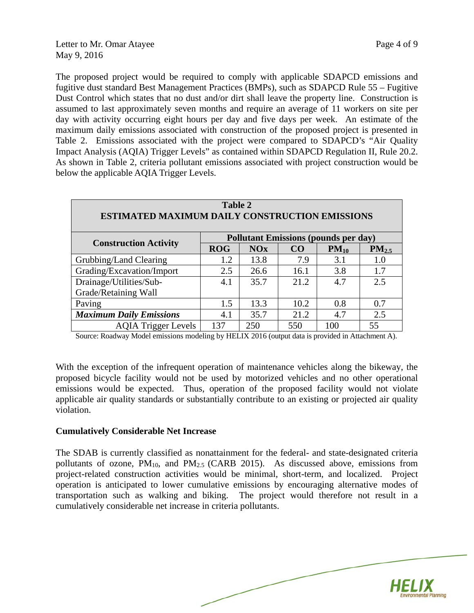The proposed project would be required to comply with applicable SDAPCD emissions and fugitive dust standard Best Management Practices (BMPs), such as SDAPCD Rule 55 – Fugitive Dust Control which states that no dust and/or dirt shall leave the property line. Construction is assumed to last approximately seven months and require an average of 11 workers on site per day with activity occurring eight hours per day and five days per week. An estimate of the maximum daily emissions associated with construction of the proposed project is presented in Table 2. Emissions associated with the project were compared to SDAPCD's "Air Quality Impact Analysis (AQIA) Trigger Levels" as contained within SDAPCD Regulation II, Rule 20.2. As shown in Table 2, criteria pollutant emissions associated with project construction would be below the applicable AQIA Trigger Levels.

| Table 2<br><b>ESTIMATED MAXIMUM DAILY CONSTRUCTION EMISSIONS</b> |                                             |            |                 |           |            |  |  |  |  |
|------------------------------------------------------------------|---------------------------------------------|------------|-----------------|-----------|------------|--|--|--|--|
|                                                                  | <b>Pollutant Emissions (pounds per day)</b> |            |                 |           |            |  |  |  |  |
| <b>Construction Activity</b>                                     | <b>ROG</b>                                  | <b>NOx</b> | CO <sub>1</sub> | $PM_{10}$ | $PM_{2.5}$ |  |  |  |  |
| Grubbing/Land Clearing                                           | 1.2                                         | 13.8       | 7.9             | 3.1       | 1.0        |  |  |  |  |
| Grading/Excavation/Import                                        | 2.5                                         | 26.6       | 16.1            | 3.8       | 1.7        |  |  |  |  |
| Drainage/Utilities/Sub-                                          | 4.1                                         | 35.7       | 21.2            | 4.7       | 2.5        |  |  |  |  |
| Grade/Retaining Wall                                             |                                             |            |                 |           |            |  |  |  |  |
| Paving                                                           | 1.5                                         | 13.3       | 10.2            | 0.8       | 0.7        |  |  |  |  |
| <b>Maximum Daily Emissions</b>                                   | 4.1                                         | 35.7       | 21.2            | 4.7       | 2.5        |  |  |  |  |
| <b>AOIA Trigger Levels</b>                                       | 137                                         | 250        | 550             | 100       | 55         |  |  |  |  |

Source: Roadway Model emissions modeling by HELIX 2016 (output data is provided in Attachment A).

With the exception of the infrequent operation of maintenance vehicles along the bikeway, the proposed bicycle facility would not be used by motorized vehicles and no other operational emissions would be expected. Thus, operation of the proposed facility would not violate applicable air quality standards or substantially contribute to an existing or projected air quality violation.

#### **Cumulatively Considerable Net Increase**

The SDAB is currently classified as nonattainment for the federal- and state-designated criteria pollutants of ozone,  $PM_{10}$ , and  $PM_{2.5}$  (CARB 2015). As discussed above, emissions from project-related construction activities would be minimal, short-term, and localized. Project operation is anticipated to lower cumulative emissions by encouraging alternative modes of transportation such as walking and biking. The project would therefore not result in a cumulatively considerable net increase in criteria pollutants.

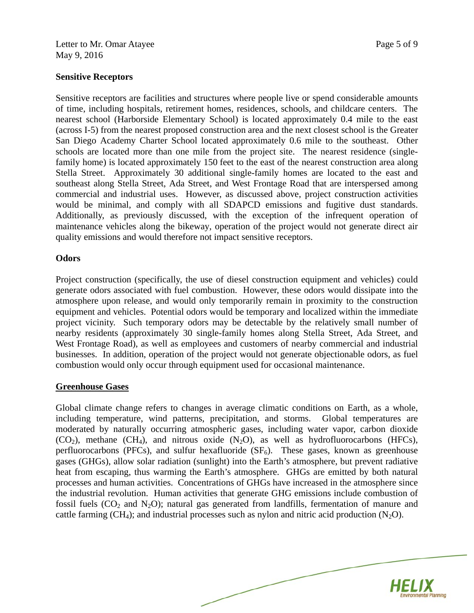#### **Sensitive Receptors**

Sensitive receptors are facilities and structures where people live or spend considerable amounts of time, including hospitals, retirement homes, residences, schools, and childcare centers. The nearest school (Harborside Elementary School) is located approximately 0.4 mile to the east (across I-5) from the nearest proposed construction area and the next closest school is the Greater San Diego Academy Charter School located approximately 0.6 mile to the southeast. Other schools are located more than one mile from the project site. The nearest residence (singlefamily home) is located approximately 150 feet to the east of the nearest construction area along Stella Street. Approximately 30 additional single-family homes are located to the east and southeast along Stella Street, Ada Street, and West Frontage Road that are interspersed among commercial and industrial uses. However, as discussed above, project construction activities would be minimal, and comply with all SDAPCD emissions and fugitive dust standards. Additionally, as previously discussed, with the exception of the infrequent operation of maintenance vehicles along the bikeway, operation of the project would not generate direct air quality emissions and would therefore not impact sensitive receptors.

## **Odors**

Project construction (specifically, the use of diesel construction equipment and vehicles) could generate odors associated with fuel combustion. However, these odors would dissipate into the atmosphere upon release, and would only temporarily remain in proximity to the construction equipment and vehicles. Potential odors would be temporary and localized within the immediate project vicinity. Such temporary odors may be detectable by the relatively small number of nearby residents (approximately 30 single-family homes along Stella Street, Ada Street, and West Frontage Road), as well as employees and customers of nearby commercial and industrial businesses. In addition, operation of the project would not generate objectionable odors, as fuel combustion would only occur through equipment used for occasional maintenance.

## **Greenhouse Gases**

Global climate change refers to changes in average climatic conditions on Earth, as a whole, including temperature, wind patterns, precipitation, and storms. Global temperatures are moderated by naturally occurring atmospheric gases, including water vapor, carbon dioxide  $(CO_2)$ , methane  $(CH_4)$ , and nitrous oxide  $(N_2O)$ , as well as hydrofluorocarbons (HFCs), perfluorocarbons (PFCs), and sulfur hexafluoride  $(SF_6)$ . These gases, known as greenhouse gases (GHGs), allow solar radiation (sunlight) into the Earth's atmosphere, but prevent radiative heat from escaping, thus warming the Earth's atmosphere. GHGs are emitted by both natural processes and human activities. Concentrations of GHGs have increased in the atmosphere since the industrial revolution. Human activities that generate GHG emissions include combustion of fossil fuels  $(CO_2$  and  $N_2O)$ ; natural gas generated from landfills, fermentation of manure and cattle farming (CH<sub>4</sub>); and industrial processes such as nylon and nitric acid production  $(N_2O)$ .

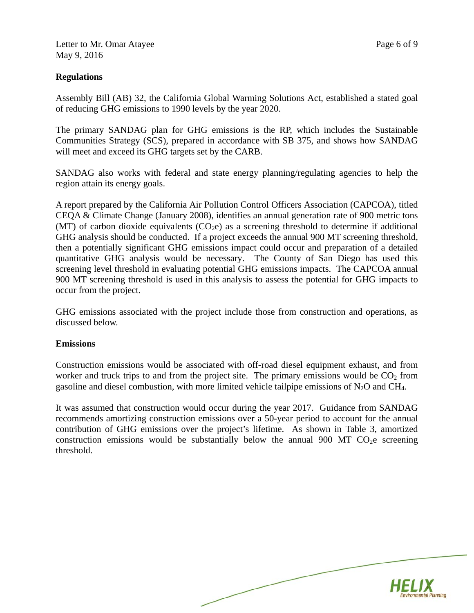Letter to Mr. Omar Atayee Page 6 of 9 May 9, 2016

#### **Regulations**

Assembly Bill (AB) 32, the California Global Warming Solutions Act, established a stated goal of reducing GHG emissions to 1990 levels by the year 2020.

The primary SANDAG plan for GHG emissions is the RP, which includes the Sustainable Communities Strategy (SCS), prepared in accordance with SB 375, and shows how SANDAG will meet and exceed its GHG targets set by the CARB.

SANDAG also works with federal and state energy planning/regulating agencies to help the region attain its energy goals.

A report prepared by the California Air Pollution Control Officers Association (CAPCOA), titled CEQA & Climate Change (January 2008), identifies an annual generation rate of 900 metric tons (MT) of carbon dioxide equivalents  $(CO<sub>2</sub>e)$  as a screening threshold to determine if additional GHG analysis should be conducted. If a project exceeds the annual 900 MT screening threshold, then a potentially significant GHG emissions impact could occur and preparation of a detailed quantitative GHG analysis would be necessary. The County of San Diego has used this screening level threshold in evaluating potential GHG emissions impacts. The CAPCOA annual 900 MT screening threshold is used in this analysis to assess the potential for GHG impacts to occur from the project.

GHG emissions associated with the project include those from construction and operations, as discussed below.

#### **Emissions**

Construction emissions would be associated with off-road diesel equipment exhaust, and from worker and truck trips to and from the project site. The primary emissions would be  $CO<sub>2</sub>$  from gasoline and diesel combustion, with more limited vehicle tailpipe emissions of  $N_2O$  and CH<sub>4</sub>.

It was assumed that construction would occur during the year 2017. Guidance from SANDAG recommends amortizing construction emissions over a 50-year period to account for the annual contribution of GHG emissions over the project's lifetime. As shown in Table 3, amortized construction emissions would be substantially below the annual 900 MT  $CO<sub>2</sub>e$  screening threshold.

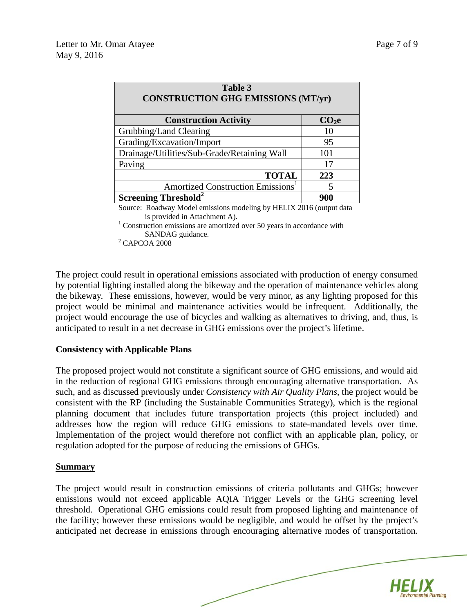| Table 3<br><b>CONSTRUCTION GHG EMISSIONS (MT/yr)</b>                                                      |                   |  |  |  |  |  |  |
|-----------------------------------------------------------------------------------------------------------|-------------------|--|--|--|--|--|--|
| <b>Construction Activity</b>                                                                              | CO <sub>2</sub> e |  |  |  |  |  |  |
| Grubbing/Land Clearing                                                                                    | 10                |  |  |  |  |  |  |
| Grading/Excavation/Import                                                                                 | 95                |  |  |  |  |  |  |
| Drainage/Utilities/Sub-Grade/Retaining Wall                                                               | 101               |  |  |  |  |  |  |
| Paving                                                                                                    | 17                |  |  |  |  |  |  |
| <b>TOTAL</b>                                                                                              | 223               |  |  |  |  |  |  |
| Amortized Construction Emissions <sup>1</sup>                                                             | 5                 |  |  |  |  |  |  |
| <b>Screening Threshold<sup>2</sup></b>                                                                    | 900               |  |  |  |  |  |  |
| $\mathbf{1}$ <b>TTTT TTT</b> $\mathbf{0}$<br>$\sim$ $\sim$ $\sim$ $\sim$ $\sim$ $\sim$ $\sim$<br>$\cdots$ |                   |  |  |  |  |  |  |

Source: Roadway Model emissions modeling by HELIX 2016 (output data is provided in Attachment A).

 $1$  Construction emissions are amortized over 50 years in accordance with SANDAG guidance.

 $2^2$  CAPCOA 2008

The project could result in operational emissions associated with production of energy consumed by potential lighting installed along the bikeway and the operation of maintenance vehicles along the bikeway. These emissions, however, would be very minor, as any lighting proposed for this project would be minimal and maintenance activities would be infrequent. Additionally, the project would encourage the use of bicycles and walking as alternatives to driving, and, thus, is anticipated to result in a net decrease in GHG emissions over the project's lifetime.

#### **Consistency with Applicable Plans**

The proposed project would not constitute a significant source of GHG emissions, and would aid in the reduction of regional GHG emissions through encouraging alternative transportation. As such, and as discussed previously under *Consistency with Air Quality Plans*, the project would be consistent with the RP (including the Sustainable Communities Strategy), which is the regional planning document that includes future transportation projects (this project included) and addresses how the region will reduce GHG emissions to state-mandated levels over time. Implementation of the project would therefore not conflict with an applicable plan, policy, or regulation adopted for the purpose of reducing the emissions of GHGs.

#### **Summary**

The project would result in construction emissions of criteria pollutants and GHGs; however emissions would not exceed applicable AQIA Trigger Levels or the GHG screening level threshold. Operational GHG emissions could result from proposed lighting and maintenance of the facility; however these emissions would be negligible, and would be offset by the project's anticipated net decrease in emissions through encouraging alternative modes of transportation.

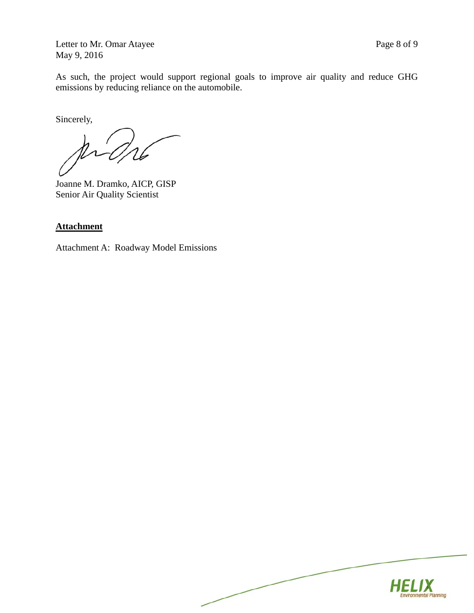Letter to Mr. Omar Atayee Page 8 of 9 May 9, 2016

As such, the project would support regional goals to improve air quality and reduce GHG emissions by reducing reliance on the automobile.

Sincerely,

Joanne M. Dramko, AICP, GISP Senior Air Quality Scientist

## **Attachment**

Attachment A: Roadway Model Emissions

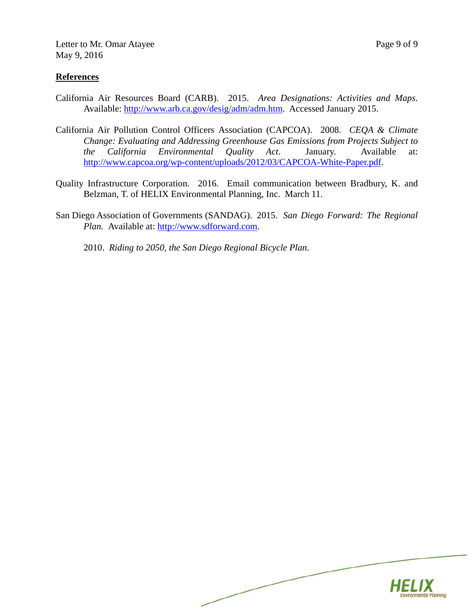#### **References**

- California Air Resources Board (CARB). 2015. *Area Designations: Activities and Maps*. Available: http://www.arb.ca.gov/desig/adm/adm.htm. Accessed January 2015.
- California Air Pollution Control Officers Association (CAPCOA). 2008. *CEQA & Climate Change: Evaluating and Addressing Greenhouse Gas Emissions from Projects Subject to the California Environmental Quality Act*. January. Available at: http://www.capcoa.org/wp-content/uploads/2012/03/CAPCOA-White-Paper.pdf.
- Quality Infrastructure Corporation. 2016. Email communication between Bradbury, K. and Belzman, T. of HELIX Environmental Planning, Inc. March 11.
- San Diego Association of Governments (SANDAG). 2015. *San Diego Forward: The Regional Plan.* Available at: http://www.sdforward.com.
	- 2010. *Riding to 2050, the San Diego Regional Bicycle Plan.*

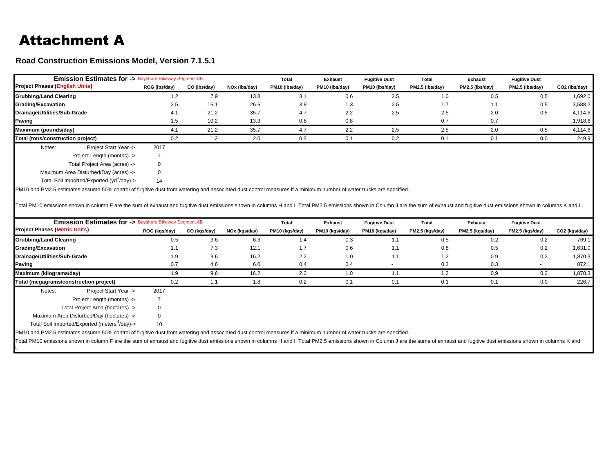## Attachment A

L.

**Road Construction Emissions Model, Version 7.1.5.1**

| <b>Emission Estimates for &gt; Bayshore Bikeway Segment 8B</b>                                                                                                                                                                 |                |              |               | Total          | <b>Exhaust</b> | <b>Fugitive Dust</b> | <b>Total</b>    | <b>Exhaust</b>  | <b>Fugitive Dust</b> |               |
|--------------------------------------------------------------------------------------------------------------------------------------------------------------------------------------------------------------------------------|----------------|--------------|---------------|----------------|----------------|----------------------|-----------------|-----------------|----------------------|---------------|
| <b>Project Phases (English Units)</b>                                                                                                                                                                                          | ROG (Ibs/day)  | CO (Ibs/day) | NOx (lbs/day) | PM10 (lbs/day) | PM10 (lbs/day) | PM10 (lbs/day)       | PM2.5 (lbs/day) | PM2.5 (lbs/day) | PM2.5 (lbs/day)      | CO2 (lbs/day) |
| <b>Grubbing/Land Clearing</b>                                                                                                                                                                                                  | 1.2            | 7.9          | 13.8          | 3.1            | 0.6            | 2.5                  | 1.0             | 0.5             | 0.5                  | 1,692.0       |
| <b>Grading/Excavation</b>                                                                                                                                                                                                      | 2.5            | 16.1         | 26.6          | 3.8            | 1.3            | 2.5                  | 1.7             | 1.1             | 0.5                  | 3,588.2       |
| Drainage/Utilities/Sub-Grade                                                                                                                                                                                                   | 4.1            | 21.2         | 35.7          | 4.7            | 2.2            | 2.5                  | 2.5             | 2.0             | 0.5                  | 4,114.6       |
| Paving                                                                                                                                                                                                                         | 1.5            | 10.2         | 13.3          | 0.8            | 0.8            |                      | 0.7             | 0.7             |                      | 1,918.6       |
| Maximum (pounds/day)                                                                                                                                                                                                           | 4.1            | 21.2         | 35.7          | 4.7            | 2.2            | 2.5                  | 2.5             | 2.0             | 0.5                  | 4,114.6       |
| Total (tons/construction project)                                                                                                                                                                                              | 0.2            | 1.2          | 2.0           | 0.3            | 0.1            | 0.2                  | 0.1             | 0.1             | 0.0                  | 249.9         |
| Project Start Year -><br>Notes:                                                                                                                                                                                                | 2017           |              |               |                |                |                      |                 |                 |                      |               |
| Project Length (months) ->                                                                                                                                                                                                     | $\overline{7}$ |              |               |                |                |                      |                 |                 |                      |               |
| Total Project Area (acres) ->                                                                                                                                                                                                  | $\mathbf 0$    |              |               |                |                |                      |                 |                 |                      |               |
| Maximum Area Disturbed/Day (acres) ->                                                                                                                                                                                          | 0              |              |               |                |                |                      |                 |                 |                      |               |
| Total Soil Imported/Exported (yd <sup>3</sup> /day)->                                                                                                                                                                          | 14             |              |               |                |                |                      |                 |                 |                      |               |
| <b>Emission Estimates for &gt; Bayshore Bikeway Segment 8B</b>                                                                                                                                                                 |                |              |               | Total          | <b>Exhaust</b> | <b>Fugitive Dust</b> | <b>Total</b>    | <b>Exhaust</b>  | <b>Fugitive Dust</b> |               |
| <b>Project Phases (Metric Units)</b>                                                                                                                                                                                           | ROG (kgs/day)  | CO (kgs/day) | NOx (kgs/day) | PM10 (kgs/day) | PM10 (kgs/day) | PM10 (kgs/day)       | PM2.5 (kgs/day) | PM2.5 (kgs/day) | PM2.5 (kgs/day)      | CO2 (kgs/day) |
| <b>Grubbing/Land Clearing</b>                                                                                                                                                                                                  | 0.5            | 3.6          | 6.3           | 1.4            | 0.3            | 1.1                  | 0.5             | 0.2             | 0.2                  | 769.1         |
| <b>Grading/Excavation</b>                                                                                                                                                                                                      | 1.1            | 7.3          | 12.1          | 1.7            | 0.6            | 1.1                  | 0.8             | 0.5             | 0.2                  | 1,631.0       |
| Drainage/Utilities/Sub-Grade                                                                                                                                                                                                   | 1.9            | 9.6          | 16.2          | 2.2            | 1.0            | 1.1                  | $1.2$           | 0.9             | 0.2                  | 1,870.3       |
| <b>Paving</b>                                                                                                                                                                                                                  | 0.7            | 4.6          | 6.0           | 0.4            | 0.4            |                      | 0.3             | 0.3             |                      | 872.1         |
| Maximum (kilograms/day)                                                                                                                                                                                                        | 1.9            | 9.6          | 16.2          | 2.2            | 1.0            | 1.1                  | 1.2             | 0.9             | 0.2                  | 1,870.3       |
| Total (megagrams/construction project)                                                                                                                                                                                         | 0.2            | 1.1          | 1.8           | 0.2            | 0.1            | 0.1                  | 0.1             | 0.1             | 0.0                  | 226.7         |
| Project Start Year -><br>Notes:                                                                                                                                                                                                | 2017           |              |               |                |                |                      |                 |                 |                      |               |
| Project Length (months) ->                                                                                                                                                                                                     | $\overline{7}$ |              |               |                |                |                      |                 |                 |                      |               |
| Total Project Area (hectares) ->                                                                                                                                                                                               | 0              |              |               |                |                |                      |                 |                 |                      |               |
| Maximum Area Disturbed/Day (hectares) ->                                                                                                                                                                                       | 0              |              |               |                |                |                      |                 |                 |                      |               |
| Total Soil Imported/Exported (meters <sup>3</sup> /day)->                                                                                                                                                                      | 10             |              |               |                |                |                      |                 |                 |                      |               |
| PM10 and PM2.5 estimates assume 50% control of fugitive dust from watering and associated dust control measures if a minimum number of water trucks are specified.                                                             |                |              |               |                |                |                      |                 |                 |                      |               |
| Total PM10 emissions shown in column F are the sum of exhaust and fugitive dust emissions shown in columns H and I. Total PM2.5 emissions shown in Column J are the sume of exhaust and fugitive dust emissions shown in colum |                |              |               |                |                |                      |                 |                 |                      |               |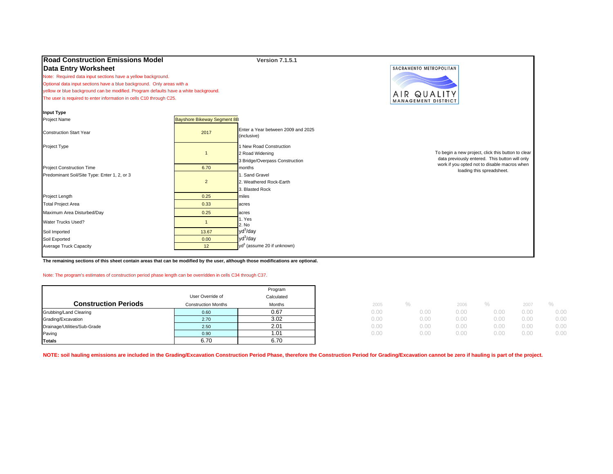| <b>Road Construction Emissions Model</b>                                             |                                    | <b>Version 7.1.5.1</b>                            |                                                                                                |
|--------------------------------------------------------------------------------------|------------------------------------|---------------------------------------------------|------------------------------------------------------------------------------------------------|
| <b>Data Entry Worksheet</b>                                                          |                                    |                                                   | SACRAMENTO METROPOLITAN                                                                        |
| Note: Required data input sections have a yellow background.                         |                                    |                                                   |                                                                                                |
| Optional data input sections have a blue background. Only areas with a               |                                    |                                                   |                                                                                                |
| yellow or blue background can be modified. Program defaults have a white background. |                                    |                                                   | AIR QUALITY                                                                                    |
| The user is required to enter information in cells C10 through C25.                  |                                    |                                                   | MANAGEMENT DISTRICT                                                                            |
| <b>Input Type</b>                                                                    |                                    |                                                   |                                                                                                |
| <b>Project Name</b>                                                                  | <b>Bayshore Bikeway Segment 8B</b> |                                                   |                                                                                                |
| <b>Construction Start Year</b>                                                       | 2017                               | Enter a Year between 2009 and 2025<br>(inclusive) |                                                                                                |
| Project Type                                                                         |                                    | 1 New Road Construction                           |                                                                                                |
|                                                                                      | $\overline{\mathbf{1}}$            | 2 Road Widening                                   | To begin a new project, click this button to clear                                             |
|                                                                                      |                                    | 3 Bridge/Overpass Construction                    | data previously entered. This button will only<br>work if you opted not to disable macros when |
| <b>Project Construction Time</b>                                                     | 6.70                               | <b>I</b> months                                   | loading this spreadsheet.                                                                      |
| Predominant Soil/Site Type: Enter 1, 2, or 3                                         |                                    | 1. Sand Gravel                                    |                                                                                                |
|                                                                                      | $\overline{2}$                     | 2. Weathered Rock-Earth                           |                                                                                                |
|                                                                                      |                                    | 3. Blasted Rock                                   |                                                                                                |
| Project Length                                                                       | 0.25                               | miles                                             |                                                                                                |
| <b>Total Project Area</b>                                                            | 0.33                               | acres                                             |                                                                                                |
| Maximum Area Disturbed/Day                                                           | 0.25                               | acres                                             |                                                                                                |
| Water Trucks Used?                                                                   | $\overline{1}$                     | 1. Yes<br>2. No                                   |                                                                                                |
| Soil Imported                                                                        | 13.67                              | $yd^3$ /day                                       |                                                                                                |
| Soil Exported                                                                        | 0.00                               | yd <sup>3</sup> /day                              |                                                                                                |
| Average Truck Capacity                                                               | 12                                 | $yd^3$ (assume 20 if unknown)                     |                                                                                                |
|                                                                                      |                                    |                                                   |                                                                                                |

**The remaining sections of this sheet contain areas that can be modified by the user, although those modifications are optional.**

#### Note: The program's estimates of construction period phase length can be overridden in cells C34 through C37.

|                              |                            | Program    |      |      |      |      |      |      |
|------------------------------|----------------------------|------------|------|------|------|------|------|------|
|                              | User Override of           | Calculated |      |      |      |      |      |      |
| <b>Construction Periods</b>  | <b>Construction Months</b> | Months     | 2005 |      | 2006 |      | 2007 |      |
| Grubbing/Land Clearing       | 0.60                       | 0.67       | 0.00 | 0.00 | 0.00 |      | 0.00 | 0.00 |
| Grading/Excavation           | 2.70                       | 3.02       | 0.00 | 0.00 | 0.00 |      | 0.00 | 0.00 |
| Drainage/Utilities/Sub-Grade | 2.50                       | 2.01       | 0.00 | 0.00 | 0.00 | J.OC | 0.00 | 0.00 |
| Paving                       | 0.90                       | 1.01       | 0.00 | 0.00 | 0.00 |      | 0.00 | 0.00 |
| <b>Totals</b>                | 6.70                       | 6.70       |      |      |      |      |      |      |

**NOTE: soil hauling emissions are included in the Grading/Excavation Construction Period Phase, therefore the Construction Period for Grading/Excavation cannot be zero if hauling is part of the project.**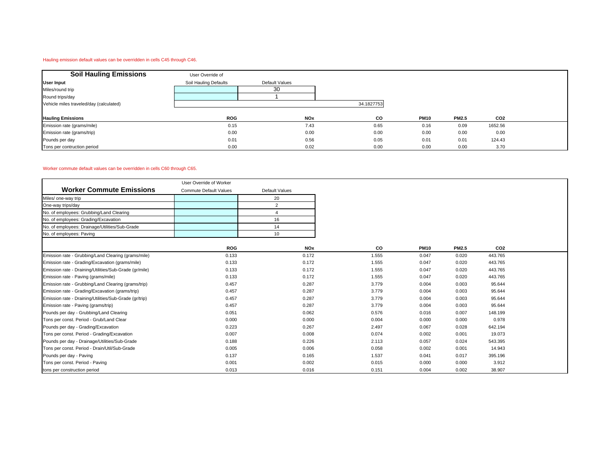#### Hauling emission default values can be overridden in cells C45 through C46.

| <b>Soil Hauling Emissions</b>           | User Override of      |                |            |             |              |                 |  |
|-----------------------------------------|-----------------------|----------------|------------|-------------|--------------|-----------------|--|
| <b>User Input</b>                       | Soil Hauling Defaults | Default Values |            |             |              |                 |  |
| Miles/round trip                        |                       | 30             |            |             |              |                 |  |
| Round trips/day                         |                       |                |            |             |              |                 |  |
| Vehicle miles traveled/day (calculated) |                       |                | 34.1827753 |             |              |                 |  |
|                                         |                       |                |            |             |              |                 |  |
| <b>Hauling Emissions</b>                | <b>ROG</b>            | <b>NOx</b>     | CO         | <b>PM10</b> | <b>PM2.5</b> | CO <sub>2</sub> |  |
| Emission rate (grams/mile)              | 0.15                  | 7.43           | 0.65       | 0.16        | 0.09         | 1652.56         |  |
| Emission rate (grams/trip)              | 0.00                  | 0.00           | 0.00       | 0.00        | 0.00         | 0.00            |  |
| Pounds per day                          | 0.01                  | 0.56           | 0.05       | 0.01        | 0.01         | 124.43          |  |
| Tons per contruction period             | 0.00                  | 0.02           | 0.00       | 0.00        | 0.00         | 3.70            |  |

#### Worker commute default values can be overridden in cells C60 through C65.

|                                                        | User Override of Worker       |                       |       |             |              |                 |  |
|--------------------------------------------------------|-------------------------------|-----------------------|-------|-------------|--------------|-----------------|--|
| <b>Worker Commute Emissions</b>                        | <b>Commute Default Values</b> | <b>Default Values</b> |       |             |              |                 |  |
| Miles/ one-way trip                                    |                               | 20                    |       |             |              |                 |  |
| One-way trips/day                                      |                               | $\overline{2}$        |       |             |              |                 |  |
| No. of employees: Grubbing/Land Clearing               |                               |                       |       |             |              |                 |  |
| No. of employees: Grading/Excavation                   |                               | 16                    |       |             |              |                 |  |
| No. of employees: Drainage/Utilities/Sub-Grade         |                               | 14                    |       |             |              |                 |  |
| No. of employees: Paving                               |                               | 10                    |       |             |              |                 |  |
|                                                        | <b>ROG</b>                    | <b>NOx</b>            | CO    | <b>PM10</b> | <b>PM2.5</b> | CO <sub>2</sub> |  |
| Emission rate - Grubbing/Land Clearing (grams/mile)    | 0.133                         | 0.172                 | 1.555 | 0.047       | 0.020        | 443.765         |  |
| Emission rate - Grading/Excavation (grams/mile)        | 0.133                         | 0.172                 | 1.555 | 0.047       | 0.020        | 443.765         |  |
| Emission rate - Draining/Utilities/Sub-Grade (gr/mile) | 0.133                         | 0.172                 | 1.555 | 0.047       | 0.020        | 443.765         |  |
| Emission rate - Paving (grams/mile)                    | 0.133                         | 0.172                 | 1.555 | 0.047       | 0.020        | 443.765         |  |
| Emission rate - Grubbing/Land Clearing (grams/trip)    | 0.457                         | 0.287                 | 3.779 | 0.004       | 0.003        | 95.644          |  |
| Emission rate - Grading/Excavation (grams/trip)        | 0.457                         | 0.287                 | 3.779 | 0.004       | 0.003        | 95.644          |  |
| Emission rate - Draining/Utilities/Sub-Grade (gr/trip) | 0.457                         | 0.287                 | 3.779 | 0.004       | 0.003        | 95.644          |  |
| Emission rate - Paving (grams/trip)                    | 0.457                         | 0.287                 | 3.779 | 0.004       | 0.003        | 95.644          |  |
| Pounds per day - Grubbing/Land Clearing                | 0.051                         | 0.062                 | 0.576 | 0.016       | 0.007        | 148.199         |  |
| Tons per const. Period - Grub/Land Clear               | 0.000                         | 0.000                 | 0.004 | 0.000       | 0.000        | 0.978           |  |
| Pounds per day - Grading/Excavation                    | 0.223                         | 0.267                 | 2.497 | 0.067       | 0.028        | 642.194         |  |
| Tons per const. Period - Grading/Excavation            | 0.007                         | 0.008                 | 0.074 | 0.002       | 0.001        | 19.073          |  |
| Pounds per day - Drainage/Utilities/Sub-Grade          | 0.188                         | 0.226                 | 2.113 | 0.057       | 0.024        | 543.395         |  |
| Tons per const. Period - Drain/Util/Sub-Grade          | 0.005                         | 0.006                 | 0.058 | 0.002       | 0.001        | 14.943          |  |
| Pounds per day - Paving                                | 0.137                         | 0.165                 | 1.537 | 0.041       | 0.017        | 395.196         |  |
| Tons per const. Period - Paving                        | 0.001                         | 0.002                 | 0.015 | 0.000       | 0.000        | 3.912           |  |
| tons per construction period                           | 0.013                         | 0.016                 | 0.151 | 0.004       | 0.002        | 38.907          |  |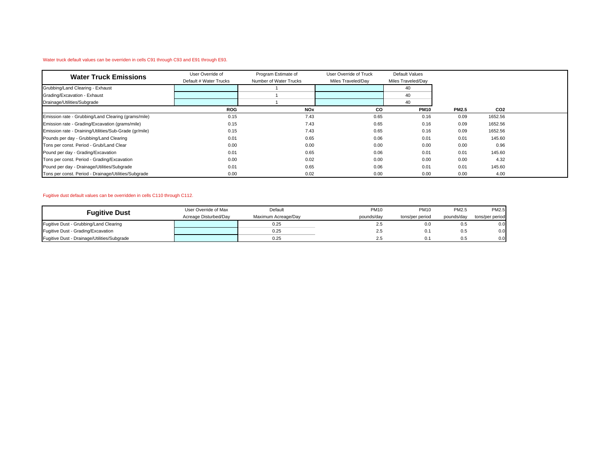#### Water truck default values can be overriden in cells C91 through C93 and E91 through E93.

| <b>Water Truck Emissions</b>                           | User Override of       | Program Estimate of    | User Override of Truck | Default Values     |              |                 |  |
|--------------------------------------------------------|------------------------|------------------------|------------------------|--------------------|--------------|-----------------|--|
|                                                        | Default # Water Trucks | Number of Water Trucks | Miles Traveled/Day     | Miles Traveled/Day |              |                 |  |
| Grubbing/Land Clearing - Exhaust                       |                        |                        |                        | 40                 |              |                 |  |
| Grading/Excavation - Exhaust                           |                        |                        |                        | 40                 |              |                 |  |
| Drainage/Utilities/Subgrade                            |                        |                        |                        | 40                 |              |                 |  |
|                                                        | <b>ROG</b>             | <b>NOx</b>             | CO                     | <b>PM10</b>        | <b>PM2.5</b> | CO <sub>2</sub> |  |
| Emission rate - Grubbing/Land Clearing (grams/mile)    | 0.15                   | 7.43                   | 0.65                   | 0.16               | 0.09         | 1652.56         |  |
| Emission rate - Grading/Excavation (grams/mile)        | 0.15                   | 7.43                   | 0.65                   | 0.16               | 0.09         | 1652.56         |  |
| Emission rate - Draining/Utilities/Sub-Grade (gr/mile) | 0.15                   | 7.43                   | 0.65                   | 0.16               | 0.09         | 1652.56         |  |
| Pounds per day - Grubbing/Land Clearing                | 0.01                   | 0.65                   | 0.06                   | 0.01               | 0.01         | 145.60          |  |
| Tons per const. Period - Grub/Land Clear               | 0.00                   | 0.00                   | 0.00                   | 0.00               | 0.00         | 0.96            |  |
| Pound per day - Grading/Excavation                     | 0.01                   | 0.65                   | 0.06                   | 0.01               | 0.01         | 145.60          |  |
| Tons per const. Period - Grading/Excavation            | 0.00                   | 0.02                   | 0.00                   | 0.00               | 0.00         | 4.32            |  |
| Pound per day - Drainage/Utilities/Subgrade            | 0.01                   | 0.65                   | 0.06                   | 0.01               | 0.01         | 145.60          |  |
| Tons per const. Period - Drainage/Utilities/Subgrade   | 0.00                   | 0.02                   | 0.00                   | 0.00               | 0.00         | 4.00            |  |

#### Fugitive dust default values can be overridden in cells C110 through C112.

| <b>Fuaitive Dust</b>                        | User Override of Max  | Default             | <b>PM10</b> | <b>PM10</b>     | PM2.5      | <b>PM2.5</b>    |
|---------------------------------------------|-----------------------|---------------------|-------------|-----------------|------------|-----------------|
|                                             | Acreage Disturbed/Day | Maximum Acreage/Day | pounds/day  | tons/per period | pounds/day | tons/per period |
| Fugitive Dust - Grubbing/Land Clearing      |                       | 0.25                | 2.5         | 0.0             | 0.5        | 0.0             |
| Fugitive Dust - Grading/Excavation          |                       | 0.25                | 2.5         | 0.1             | 0.5        | 0.0             |
| Fugitive Dust - Drainage/Utilities/Subgrade |                       | 0.25                | 2.5         |                 | 0.5        | 0.0             |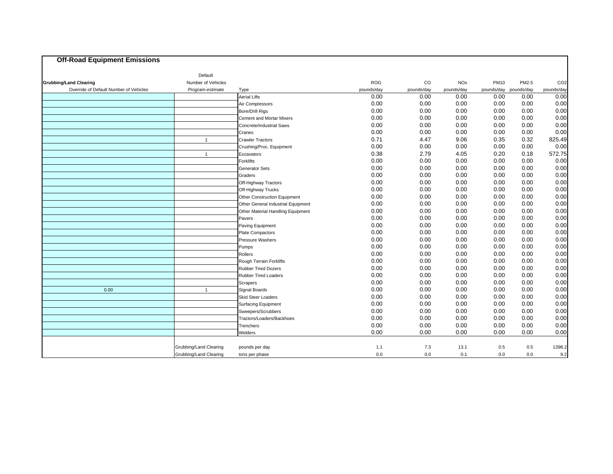| <b>Off-Road Equipment Emissions</b>    |                        |                                    |            |             |            |             |            |                 |
|----------------------------------------|------------------------|------------------------------------|------------|-------------|------------|-------------|------------|-----------------|
|                                        | Default                |                                    |            |             |            |             |            |                 |
| <b>Grubbing/Land Clearing</b>          | Number of Vehicles     |                                    | <b>ROG</b> | $_{\rm CO}$ | <b>NOx</b> | <b>PM10</b> | PM2.5      | CO <sub>2</sub> |
| Override of Default Number of Vehicles | Program-estimate       | Type                               | pounds/day | pounds/day  | pounds/day | pounds/day  | pounds/day | pounds/day      |
|                                        |                        | <b>Aerial Lifts</b>                | 0.00       | 0.00        | 0.00       | 0.00        | 0.00       | 0.00            |
|                                        |                        | Air Compressors                    | 0.00       | 0.00        | 0.00       | 0.00        | 0.00       | 0.00            |
|                                        |                        | <b>Bore/Drill Rigs</b>             | 0.00       | 0.00        | 0.00       | 0.00        | 0.00       | 0.00            |
|                                        |                        | <b>Cement and Mortar Mixers</b>    | 0.00       | 0.00        | 0.00       | 0.00        | 0.00       | 0.00            |
|                                        |                        | Concrete/Industrial Saws           | 0.00       | 0.00        | 0.00       | 0.00        | 0.00       | 0.00            |
|                                        |                        | Cranes                             | 0.00       | 0.00        | 0.00       | 0.00        | 0.00       | 0.00            |
|                                        | $\overline{1}$         | <b>Crawler Tractors</b>            | 0.71       | 4.47        | 9.06       | 0.35        | 0.32       | 825.49          |
|                                        |                        | Crushing/Proc. Equipment           | 0.00       | 0.00        | 0.00       | 0.00        | 0.00       | 0.00            |
|                                        | $\overline{1}$         | Excavators                         | 0.38       | 2.79        | 4.05       | 0.20        | 0.18       | 572.75          |
|                                        |                        | Forklifts                          | 0.00       | 0.00        | 0.00       | 0.00        | 0.00       | 0.00            |
|                                        |                        | Generator Sets                     | 0.00       | 0.00        | 0.00       | 0.00        | 0.00       | 0.00            |
|                                        |                        | Graders                            | 0.00       | 0.00        | 0.00       | 0.00        | 0.00       | 0.00            |
|                                        |                        | Off-Highway Tractors               | 0.00       | 0.00        | 0.00       | 0.00        | 0.00       | 0.00            |
|                                        |                        | Off-Highway Trucks                 | 0.00       | 0.00        | 0.00       | 0.00        | 0.00       | 0.00            |
|                                        |                        | Other Construction Equipment       | 0.00       | 0.00        | 0.00       | 0.00        | 0.00       | 0.00            |
|                                        |                        | Other General Industrial Equipment | 0.00       | 0.00        | 0.00       | 0.00        | 0.00       | 0.00            |
|                                        |                        | Other Material Handling Equipment  | 0.00       | 0.00        | 0.00       | 0.00        | 0.00       | 0.00            |
|                                        |                        | Pavers                             | 0.00       | 0.00        | 0.00       | 0.00        | 0.00       | 0.00            |
|                                        |                        | Paving Equipment                   | 0.00       | 0.00        | 0.00       | 0.00        | 0.00       | 0.00            |
|                                        |                        | Plate Compactors                   | 0.00       | 0.00        | 0.00       | 0.00        | 0.00       | 0.00            |
|                                        |                        | Pressure Washers                   | 0.00       | 0.00        | 0.00       | 0.00        | 0.00       | 0.00            |
|                                        |                        | Pumps                              | 0.00       | 0.00        | 0.00       | 0.00        | 0.00       | 0.00            |
|                                        |                        | Rollers                            | 0.00       | 0.00        | 0.00       | 0.00        | 0.00       | 0.00            |
|                                        |                        | Rough Terrain Forklifts            | 0.00       | 0.00        | 0.00       | 0.00        | 0.00       | 0.00            |
|                                        |                        | <b>Rubber Tired Dozers</b>         | 0.00       | 0.00        | 0.00       | 0.00        | 0.00       | 0.00            |
|                                        |                        | <b>Rubber Tired Loaders</b>        | 0.00       | 0.00        | 0.00       | 0.00        | 0.00       | 0.00            |
|                                        |                        | Scrapers                           | 0.00       | 0.00        | 0.00       | 0.00        | 0.00       | 0.00            |
| 0.00                                   | $\mathbf{1}$           | Signal Boards                      | 0.00       | 0.00        | 0.00       | 0.00        | 0.00       | 0.00            |
|                                        |                        | <b>Skid Steer Loaders</b>          | 0.00       | 0.00        | 0.00       | 0.00        | 0.00       | 0.00            |
|                                        |                        | <b>Surfacing Equipment</b>         | 0.00       | 0.00        | 0.00       | 0.00        | 0.00       | 0.00            |
|                                        |                        | Sweepers/Scrubbers                 | 0.00       | 0.00        | 0.00       | 0.00        | 0.00       | 0.00            |
|                                        |                        | Tractors/Loaders/Backhoes          | 0.00       | 0.00        | 0.00       | 0.00        | 0.00       | 0.00            |
|                                        |                        | Trenchers                          | 0.00       | 0.00        | 0.00       | 0.00        | 0.00       | 0.00            |
|                                        |                        | Welders                            | 0.00       | 0.00        | 0.00       | 0.00        | 0.00       | 0.00            |
|                                        | Grubbing/Land Clearing | pounds per day                     | 1.1        | 7.3         | 13.1       | 0.5         | 0.5        | 1398.2          |
|                                        |                        |                                    |            | 0.0         | 0.1        | 0.0         | 0.0        | 9.2             |
|                                        | Grubbing/Land Clearing | tons per phase                     | 0.0        |             |            |             |            |                 |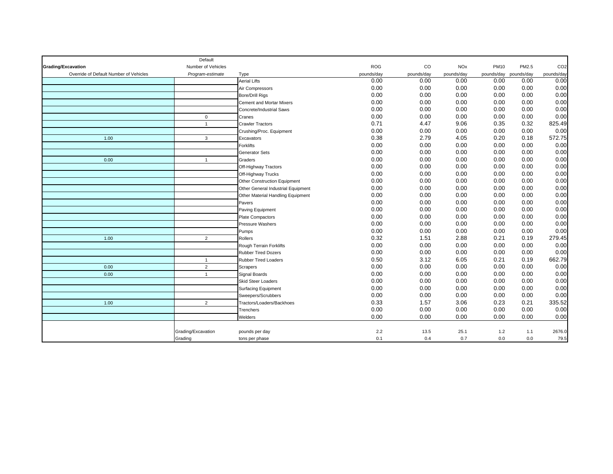|                                        | Default            |                                    |            |             |            |                       |       |                 |
|----------------------------------------|--------------------|------------------------------------|------------|-------------|------------|-----------------------|-------|-----------------|
| Grading/Excavation                     | Number of Vehicles |                                    | <b>ROG</b> | $_{\rm CO}$ | <b>NOx</b> | <b>PM10</b>           | PM2.5 | CO <sub>2</sub> |
| Override of Default Number of Vehicles | Program-estimate   | Type                               | pounds/day | pounds/day  | pounds/day | pounds/day pounds/day |       | pounds/day      |
|                                        |                    | <b>Aerial Lifts</b>                | 0.00       | 0.00        | 0.00       | 0.00                  | 0.00  | 0.00            |
|                                        |                    | Air Compressors                    | 0.00       | 0.00        | 0.00       | 0.00                  | 0.00  | 0.00            |
|                                        |                    | <b>Bore/Drill Rigs</b>             | 0.00       | 0.00        | 0.00       | 0.00                  | 0.00  | 0.00            |
|                                        |                    | <b>Cement and Mortar Mixers</b>    | 0.00       | 0.00        | 0.00       | 0.00                  | 0.00  | 0.00            |
|                                        |                    | Concrete/Industrial Saws           | 0.00       | 0.00        | 0.00       | 0.00                  | 0.00  | 0.00            |
|                                        | $\mathbf 0$        | Cranes                             | 0.00       | 0.00        | 0.00       | 0.00                  | 0.00  | 0.00            |
|                                        | $\mathbf{1}$       | <b>Crawler Tractors</b>            | 0.71       | 4.47        | 9.06       | 0.35                  | 0.32  | 825.49          |
|                                        |                    | Crushing/Proc. Equipment           | 0.00       | 0.00        | 0.00       | 0.00                  | 0.00  | 0.00            |
| 1.00                                   | $\mathbf{3}$       | Excavators                         | 0.38       | 2.79        | 4.05       | 0.20                  | 0.18  | 572.75          |
|                                        |                    | Forklifts                          | 0.00       | 0.00        | 0.00       | 0.00                  | 0.00  | 0.00            |
|                                        |                    | Generator Sets                     | 0.00       | 0.00        | 0.00       | 0.00                  | 0.00  | 0.00            |
| 0.00                                   | $\overline{1}$     | Graders                            | 0.00       | 0.00        | 0.00       | 0.00                  | 0.00  | 0.00            |
|                                        |                    | Off-Highway Tractors               | 0.00       | 0.00        | 0.00       | 0.00                  | 0.00  | 0.00            |
|                                        |                    | Off-Highway Trucks                 | 0.00       | 0.00        | 0.00       | 0.00                  | 0.00  | 0.00            |
|                                        |                    | Other Construction Equipment       | 0.00       | 0.00        | 0.00       | 0.00                  | 0.00  | 0.00            |
|                                        |                    | Other General Industrial Equipment | 0.00       | 0.00        | 0.00       | 0.00                  | 0.00  | 0.00            |
|                                        |                    | Other Material Handling Equipment  | 0.00       | 0.00        | 0.00       | 0.00                  | 0.00  | 0.00            |
|                                        |                    | Pavers                             | 0.00       | 0.00        | 0.00       | 0.00                  | 0.00  | 0.00            |
|                                        |                    | Paving Equipment                   | 0.00       | 0.00        | 0.00       | 0.00                  | 0.00  | 0.00            |
|                                        |                    | Plate Compactors                   | 0.00       | 0.00        | 0.00       | 0.00                  | 0.00  | 0.00            |
|                                        |                    | Pressure Washers                   | 0.00       | 0.00        | 0.00       | 0.00                  | 0.00  | 0.00            |
|                                        |                    | Pumps                              | 0.00       | 0.00        | 0.00       | 0.00                  | 0.00  | 0.00            |
| 1.00                                   | $\overline{2}$     | Rollers                            | 0.32       | 1.51        | 2.88       | 0.21                  | 0.19  | 279.45          |
|                                        |                    | Rough Terrain Forklifts            | 0.00       | 0.00        | 0.00       | 0.00                  | 0.00  | 0.00            |
|                                        |                    | <b>Rubber Tired Dozers</b>         | 0.00       | 0.00        | 0.00       | 0.00                  | 0.00  | 0.00            |
|                                        | $\mathbf{1}$       | <b>Rubber Tired Loaders</b>        | 0.50       | 3.12        | 6.05       | 0.21                  | 0.19  | 662.79          |
| 0.00                                   | $\overline{2}$     | Scrapers                           | 0.00       | 0.00        | 0.00       | 0.00                  | 0.00  | 0.00            |
| 0.00                                   | $\overline{1}$     | Signal Boards                      | 0.00       | 0.00        | 0.00       | 0.00                  | 0.00  | 0.00            |
|                                        |                    | <b>Skid Steer Loaders</b>          | 0.00       | 0.00        | 0.00       | 0.00                  | 0.00  | 0.00            |
|                                        |                    | <b>Surfacing Equipment</b>         | 0.00       | 0.00        | 0.00       | 0.00                  | 0.00  | 0.00            |
|                                        |                    | Sweepers/Scrubbers                 | 0.00       | 0.00        | 0.00       | 0.00                  | 0.00  | 0.00            |
| 1.00                                   | $\overline{2}$     | Tractors/Loaders/Backhoes          | 0.33       | 1.57        | 3.06       | 0.23                  | 0.21  | 335.52          |
|                                        |                    | Trenchers                          | 0.00       | 0.00        | 0.00       | 0.00                  | 0.00  | 0.00            |
|                                        |                    | Welders                            | 0.00       | 0.00        | 0.00       | 0.00                  | 0.00  | 0.00            |
|                                        |                    |                                    |            |             |            |                       |       |                 |
|                                        | Grading/Excavation | pounds per day                     | 2.2        | 13.5        | 25.1       | 1.2                   | 1.1   | 2676.0          |
|                                        | Grading            | tons per phase                     | 0.1        | 0.4         | 0.7        | 0.0                   | 0.0   | 79.5            |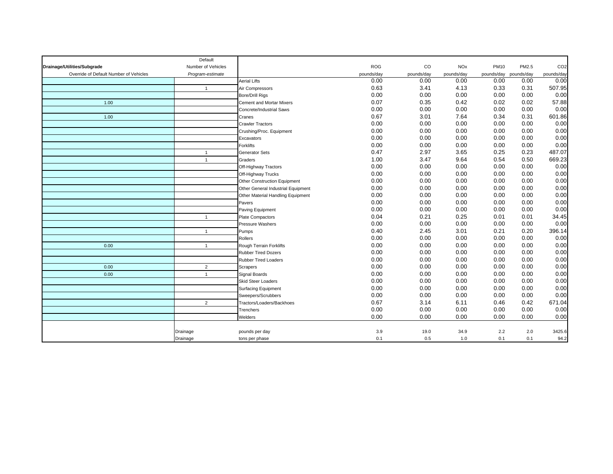|                                        | Default            |                                    |            |             |            |                       |       |                 |
|----------------------------------------|--------------------|------------------------------------|------------|-------------|------------|-----------------------|-------|-----------------|
| Drainage/Utilities/Subgrade            | Number of Vehicles |                                    | <b>ROG</b> | $_{\rm CO}$ | <b>NOx</b> | <b>PM10</b>           | PM2.5 | CO <sub>2</sub> |
| Override of Default Number of Vehicles | Program-estimate   |                                    | pounds/day | pounds/day  | pounds/day | pounds/day pounds/day |       | pounds/day      |
|                                        |                    | <b>Aerial Lifts</b>                | 0.00       | 0.00        | 0.00       | 0.00                  | 0.00  | 0.00            |
|                                        | $\overline{1}$     | Air Compressors                    | 0.63       | 3.41        | 4.13       | 0.33                  | 0.31  | 507.95          |
|                                        |                    | <b>Bore/Drill Rigs</b>             | 0.00       | 0.00        | 0.00       | 0.00                  | 0.00  | 0.00            |
| 1.00                                   |                    | <b>Cement and Mortar Mixers</b>    | 0.07       | 0.35        | 0.42       | 0.02                  | 0.02  | 57.88           |
|                                        |                    | Concrete/Industrial Saws           | 0.00       | 0.00        | 0.00       | 0.00                  | 0.00  | 0.00            |
| 1.00                                   |                    | Cranes                             | 0.67       | 3.01        | 7.64       | 0.34                  | 0.31  | 601.86          |
|                                        |                    | <b>Crawler Tractors</b>            | 0.00       | 0.00        | 0.00       | 0.00                  | 0.00  | 0.00            |
|                                        |                    | Crushing/Proc. Equipment           | 0.00       | 0.00        | 0.00       | 0.00                  | 0.00  | 0.00            |
|                                        |                    | Excavators                         | 0.00       | 0.00        | 0.00       | 0.00                  | 0.00  | 0.00            |
|                                        |                    | Forklifts                          | 0.00       | 0.00        | 0.00       | 0.00                  | 0.00  | 0.00            |
|                                        | $\mathbf{1}$       | Generator Sets                     | 0.47       | 2.97        | 3.65       | 0.25                  | 0.23  | 487.07          |
|                                        | $\mathbf{1}$       | Graders                            | 1.00       | 3.47        | 9.64       | 0.54                  | 0.50  | 669.23          |
|                                        |                    | Off-Highway Tractors               | 0.00       | 0.00        | 0.00       | 0.00                  | 0.00  | 0.00            |
|                                        |                    | Off-Highway Trucks                 | 0.00       | 0.00        | 0.00       | 0.00                  | 0.00  | 0.00            |
|                                        |                    | Other Construction Equipment       | 0.00       | 0.00        | 0.00       | 0.00                  | 0.00  | 0.00            |
|                                        |                    | Other General Industrial Equipment | 0.00       | 0.00        | 0.00       | 0.00                  | 0.00  | 0.00            |
|                                        |                    | Other Material Handling Equipment  | 0.00       | 0.00        | 0.00       | 0.00                  | 0.00  | 0.00            |
|                                        |                    | Pavers                             | 0.00       | 0.00        | 0.00       | 0.00                  | 0.00  | 0.00            |
|                                        |                    | Paving Equipment                   | 0.00       | 0.00        | 0.00       | 0.00                  | 0.00  | 0.00            |
|                                        | $\overline{1}$     | Plate Compactors                   | 0.04       | 0.21        | 0.25       | 0.01                  | 0.01  | 34.45           |
|                                        |                    | Pressure Washers                   | 0.00       | 0.00        | 0.00       | 0.00                  | 0.00  | 0.00            |
|                                        | $\mathbf{1}$       | Pumps                              | 0.40       | 2.45        | 3.01       | 0.21                  | 0.20  | 396.14          |
|                                        |                    | Rollers                            | 0.00       | 0.00        | 0.00       | 0.00                  | 0.00  | 0.00            |
| 0.00                                   | $\mathbf{1}$       | Rough Terrain Forklifts            | 0.00       | 0.00        | 0.00       | 0.00                  | 0.00  | 0.00            |
|                                        |                    | <b>Rubber Tired Dozers</b>         | 0.00       | 0.00        | 0.00       | 0.00                  | 0.00  | 0.00            |
|                                        |                    | <b>Rubber Tired Loaders</b>        | 0.00       | 0.00        | 0.00       | 0.00                  | 0.00  | 0.00            |
| 0.00                                   | $\overline{2}$     | Scrapers                           | 0.00       | 0.00        | 0.00       | 0.00                  | 0.00  | 0.00            |
| 0.00                                   | $\mathbf{1}$       | Signal Boards                      | 0.00       | 0.00        | 0.00       | 0.00                  | 0.00  | 0.00            |
|                                        |                    | <b>Skid Steer Loaders</b>          | 0.00       | 0.00        | 0.00       | 0.00                  | 0.00  | 0.00            |
|                                        |                    | <b>Surfacing Equipment</b>         | 0.00       | 0.00        | 0.00       | 0.00                  | 0.00  | 0.00            |
|                                        |                    | Sweepers/Scrubbers                 | 0.00       | 0.00        | 0.00       | 0.00                  | 0.00  | 0.00            |
|                                        | $\overline{2}$     | Tractors/Loaders/Backhoes          | 0.67       | 3.14        | 6.11       | 0.46                  | 0.42  | 671.04          |
|                                        |                    | Trenchers                          | 0.00       | 0.00        | 0.00       | 0.00                  | 0.00  | 0.00            |
|                                        |                    | Welders                            | 0.00       | 0.00        | 0.00       | 0.00                  | 0.00  | 0.00            |
|                                        |                    |                                    |            |             |            |                       |       |                 |
|                                        | Drainage           | pounds per day                     | 3.9        | 19.0        | 34.9       | 2.2                   | 2.0   | 3425.6          |
|                                        | Drainage           | tons per phase                     | 0.1        | 0.5         | 1.0        | 0.1                   | 0.1   | 94.2            |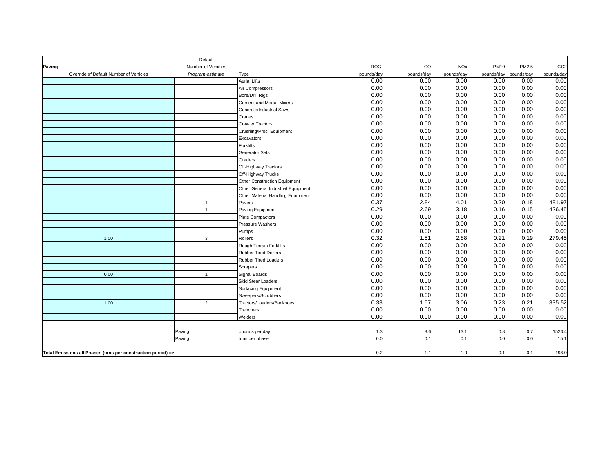|        |                                                              | Default            |                                    |            |             |            |                       |       |                 |
|--------|--------------------------------------------------------------|--------------------|------------------------------------|------------|-------------|------------|-----------------------|-------|-----------------|
| Paving |                                                              | Number of Vehicles |                                    | <b>ROG</b> | $_{\rm CO}$ | <b>NOx</b> | <b>PM10</b>           | PM2.5 | CO <sub>2</sub> |
|        | Override of Default Number of Vehicles                       | Program-estimate   | Type                               | pounds/day | pounds/day  | pounds/day | pounds/day pounds/day |       | pounds/day      |
|        |                                                              |                    | <b>Aerial Lifts</b>                | 0.00       | 0.00        | 0.00       | 0.00                  | 0.00  | 0.00            |
|        |                                                              |                    | Air Compressors                    | 0.00       | 0.00        | 0.00       | 0.00                  | 0.00  | 0.00            |
|        |                                                              |                    | <b>Bore/Drill Rigs</b>             | 0.00       | 0.00        | 0.00       | 0.00                  | 0.00  | 0.00            |
|        |                                                              |                    | <b>Cement and Mortar Mixers</b>    | 0.00       | 0.00        | 0.00       | 0.00                  | 0.00  | 0.00            |
|        |                                                              |                    | Concrete/Industrial Saws           | 0.00       | 0.00        | 0.00       | 0.00                  | 0.00  | 0.00            |
|        |                                                              |                    | Cranes                             | 0.00       | 0.00        | 0.00       | 0.00                  | 0.00  | 0.00            |
|        |                                                              |                    | <b>Crawler Tractors</b>            | 0.00       | 0.00        | 0.00       | 0.00                  | 0.00  | 0.00            |
|        |                                                              |                    | Crushing/Proc. Equipment           | 0.00       | 0.00        | 0.00       | 0.00                  | 0.00  | 0.00            |
|        |                                                              |                    | Excavators                         | 0.00       | 0.00        | 0.00       | 0.00                  | 0.00  | 0.00            |
|        |                                                              |                    | Forklifts                          | 0.00       | 0.00        | 0.00       | 0.00                  | 0.00  | 0.00            |
|        |                                                              |                    | Generator Sets                     | 0.00       | 0.00        | 0.00       | 0.00                  | 0.00  | 0.00            |
|        |                                                              |                    | Graders                            | 0.00       | 0.00        | 0.00       | 0.00                  | 0.00  | 0.00            |
|        |                                                              |                    | Off-Highway Tractors               | 0.00       | 0.00        | 0.00       | 0.00                  | 0.00  | 0.00            |
|        |                                                              |                    | Off-Highway Trucks                 | 0.00       | 0.00        | 0.00       | 0.00                  | 0.00  | 0.00            |
|        |                                                              |                    | Other Construction Equipment       | 0.00       | 0.00        | 0.00       | 0.00                  | 0.00  | 0.00            |
|        |                                                              |                    | Other General Industrial Equipment | 0.00       | 0.00        | 0.00       | 0.00                  | 0.00  | 0.00            |
|        |                                                              |                    | Other Material Handling Equipment  | 0.00       | 0.00        | 0.00       | 0.00                  | 0.00  | 0.00            |
|        |                                                              | $\overline{1}$     | Pavers                             | 0.37       | 2.84        | 4.01       | 0.20                  | 0.18  | 481.97          |
|        |                                                              | $\mathbf{1}$       | Paving Equipment                   | 0.29       | 2.69        | 3.18       | 0.16                  | 0.15  | 426.45          |
|        |                                                              |                    | Plate Compactors                   | 0.00       | 0.00        | 0.00       | 0.00                  | 0.00  | 0.00            |
|        |                                                              |                    | Pressure Washers                   | 0.00       | 0.00        | 0.00       | 0.00                  | 0.00  | 0.00            |
|        |                                                              |                    | Pumps                              | 0.00       | 0.00        | 0.00       | 0.00                  | 0.00  | 0.00            |
|        | 1.00                                                         | 3                  | Rollers                            | 0.32       | 1.51        | 2.88       | 0.21                  | 0.19  | 279.45          |
|        |                                                              |                    | Rough Terrain Forklifts            | 0.00       | 0.00        | 0.00       | 0.00                  | 0.00  | 0.00            |
|        |                                                              |                    | <b>Rubber Tired Dozers</b>         | 0.00       | 0.00        | 0.00       | 0.00                  | 0.00  | 0.00            |
|        |                                                              |                    | <b>Rubber Tired Loaders</b>        | 0.00       | 0.00        | 0.00       | 0.00                  | 0.00  | 0.00            |
|        |                                                              |                    | Scrapers                           | 0.00       | 0.00        | 0.00       | 0.00                  | 0.00  | 0.00            |
|        | 0.00                                                         | $\mathbf{1}$       | Signal Boards                      | 0.00       | 0.00        | 0.00       | 0.00                  | 0.00  | 0.00            |
|        |                                                              |                    | <b>Skid Steer Loaders</b>          | 0.00       | 0.00        | 0.00       | 0.00                  | 0.00  | 0.00            |
|        |                                                              |                    | <b>Surfacing Equipment</b>         | 0.00       | 0.00        | 0.00       | 0.00                  | 0.00  | 0.00            |
|        |                                                              |                    | Sweepers/Scrubbers                 | 0.00       | 0.00        | 0.00       | 0.00                  | 0.00  | 0.00            |
|        | 1.00                                                         | $\overline{2}$     | Tractors/Loaders/Backhoes          | 0.33       | 1.57        | 3.06       | 0.23                  | 0.21  | 335.52          |
|        |                                                              |                    | Trenchers                          | 0.00       | 0.00        | 0.00       | 0.00                  | 0.00  | 0.00            |
|        |                                                              |                    | Welders                            | 0.00       | 0.00        | 0.00       | 0.00                  | 0.00  | 0.00            |
|        |                                                              |                    |                                    |            |             |            |                       |       |                 |
|        |                                                              | Paving             | pounds per day                     | 1.3        | 8.6         | 13.1       | 0.8                   | 0.7   | 1523.4          |
|        |                                                              | Paving             | tons per phase                     | 0.0        | 0.1         | 0.1        | 0.0                   | 0.0   | 15.1            |
|        |                                                              |                    |                                    |            |             |            |                       |       |                 |
|        | Total Emissions all Phases (tons per construction period) => |                    |                                    | 0.2        | 1.1         | 1.9        | 0.1                   | 0.1   | 198.0           |